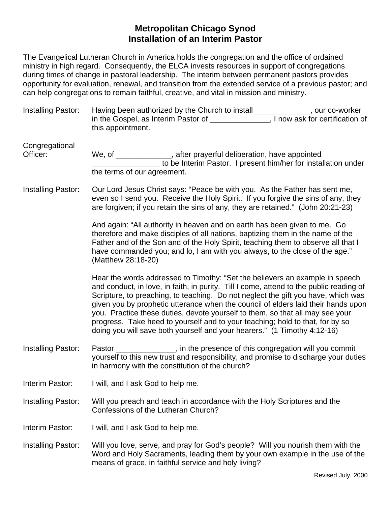## **Metropolitan Chicago Synod Installation of an Interim Pastor**

The Evangelical Lutheran Church in America holds the congregation and the office of ordained ministry in high regard. Consequently, the ELCA invests resources in support of congregations during times of change in pastoral leadership. The interim between permanent pastors provides opportunity for evaluation, renewal, and transition from the extended service of a previous pastor; and can help congregations to remain faithful, creative, and vital in mission and ministry.

| Installing Pastor:         | Having been authorized by the Church to install _____________, our co-worker<br>in the Gospel, as Interim Pastor of ______________, I now ask for certification of<br>this appointment.                                                                                                                                                                                                                                                                                                                                                                                                         |
|----------------------------|-------------------------------------------------------------------------------------------------------------------------------------------------------------------------------------------------------------------------------------------------------------------------------------------------------------------------------------------------------------------------------------------------------------------------------------------------------------------------------------------------------------------------------------------------------------------------------------------------|
| Congregational<br>Officer: | We, of ______________, after prayerful deliberation, have appointed<br>to be Interim Pastor. I present him/her for installation under<br>the terms of our agreement.                                                                                                                                                                                                                                                                                                                                                                                                                            |
|                            |                                                                                                                                                                                                                                                                                                                                                                                                                                                                                                                                                                                                 |
| Installing Pastor:         | Our Lord Jesus Christ says: "Peace be with you. As the Father has sent me,<br>even so I send you. Receive the Holy Spirit. If you forgive the sins of any, they<br>are forgiven; if you retain the sins of any, they are retained." (John 20:21-23)                                                                                                                                                                                                                                                                                                                                             |
|                            | And again: "All authority in heaven and on earth has been given to me. Go<br>therefore and make disciples of all nations, baptizing them in the name of the<br>Father and of the Son and of the Holy Spirit, teaching them to observe all that I<br>have commanded you; and lo, I am with you always, to the close of the age."<br>(Matthew 28:18-20)                                                                                                                                                                                                                                           |
|                            | Hear the words addressed to Timothy: "Set the believers an example in speech<br>and conduct, in love, in faith, in purity. Till I come, attend to the public reading of<br>Scripture, to preaching, to teaching. Do not neglect the gift you have, which was<br>given you by prophetic utterance when the council of elders laid their hands upon<br>you. Practice these duties, devote yourself to them, so that all may see your<br>progress. Take heed to yourself and to your teaching; hold to that, for by so<br>doing you will save both yourself and your hearers." (1 Timothy 4:12-16) |
| Installing Pastor:         | Pastor _______________, in the presence of this congregation will you commit<br>yourself to this new trust and responsibility, and promise to discharge your duties<br>in harmony with the constitution of the church?                                                                                                                                                                                                                                                                                                                                                                          |
| Interim Pastor:            | I will, and I ask God to help me.                                                                                                                                                                                                                                                                                                                                                                                                                                                                                                                                                               |
| Installing Pastor:         | Will you preach and teach in accordance with the Holy Scriptures and the<br>Confessions of the Lutheran Church?                                                                                                                                                                                                                                                                                                                                                                                                                                                                                 |
| Interim Pastor:            | I will, and I ask God to help me.                                                                                                                                                                                                                                                                                                                                                                                                                                                                                                                                                               |
| Installing Pastor:         | Will you love, serve, and pray for God's people? Will you nourish them with the<br>Word and Holy Sacraments, leading them by your own example in the use of the<br>means of grace, in faithful service and holy living?                                                                                                                                                                                                                                                                                                                                                                         |